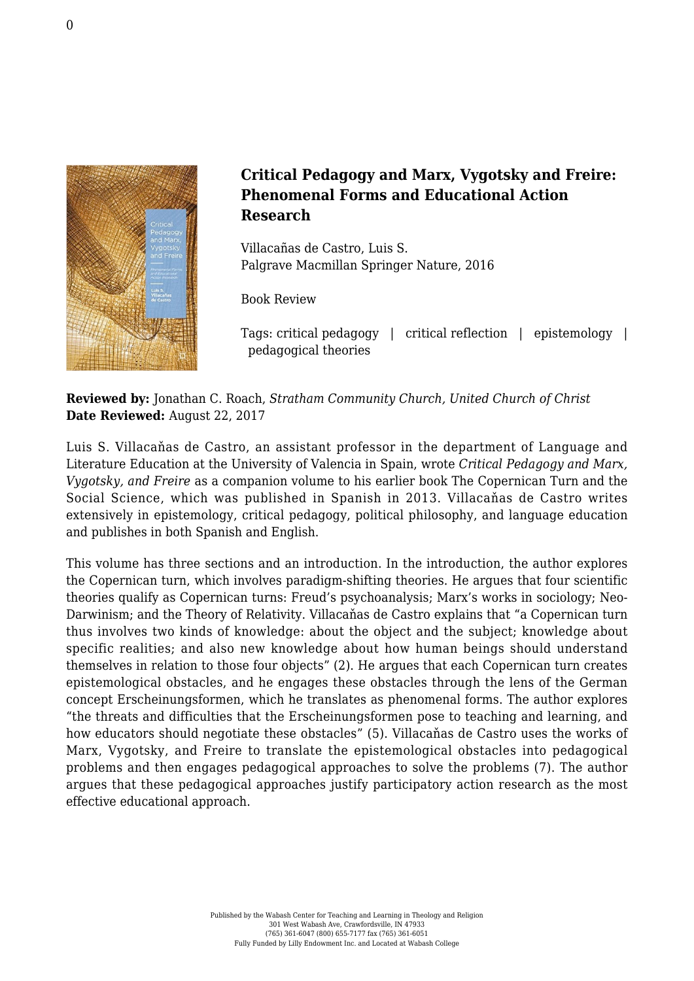

## **Critical Pedagogy and Marx, Vygotsky and Freire: Phenomenal Forms and Educational Action Research**

Villacañas de Castro, Luis S. [Palgrave Macmillan Springer Nature, 2016](http://www.palgrave.com/gb/book/9781137562432)

Book Review

Tags: critical pedagogy | critical reflection | epistemology | pedagogical theories

**Reviewed by:** Jonathan C. Roach, *Stratham Community Church, United Church of Christ* **Date Reviewed:** August 22, 2017

Luis S. Villacaňas de Castro, an assistant professor in the department of Language and Literature Education at the University of Valencia in Spain, wrote *Critical Pedagogy and Marx, Vygotsky, and Freire* as a companion volume to his earlier book The Copernican Turn and the Social Science, which was published in Spanish in 2013. Villacaňas de Castro writes extensively in epistemology, critical pedagogy, political philosophy, and language education and publishes in both Spanish and English.

This volume has three sections and an introduction. In the introduction, the author explores the Copernican turn, which involves paradigm-shifting theories. He argues that four scientific theories qualify as Copernican turns: Freud's psychoanalysis; Marx's works in sociology; Neo-Darwinism; and the Theory of Relativity. Villacaňas de Castro explains that "a Copernican turn thus involves two kinds of knowledge: about the object and the subject; knowledge about specific realities; and also new knowledge about how human beings should understand themselves in relation to those four objects" (2). He argues that each Copernican turn creates epistemological obstacles, and he engages these obstacles through the lens of the German concept Erscheinungsformen, which he translates as phenomenal forms. The author explores "the threats and difficulties that the Erscheinungsformen pose to teaching and learning, and how educators should negotiate these obstacles" (5). Villacaňas de Castro uses the works of Marx, Vygotsky, and Freire to translate the epistemological obstacles into pedagogical problems and then engages pedagogical approaches to solve the problems (7). The author argues that these pedagogical approaches justify participatory action research as the most effective educational approach.